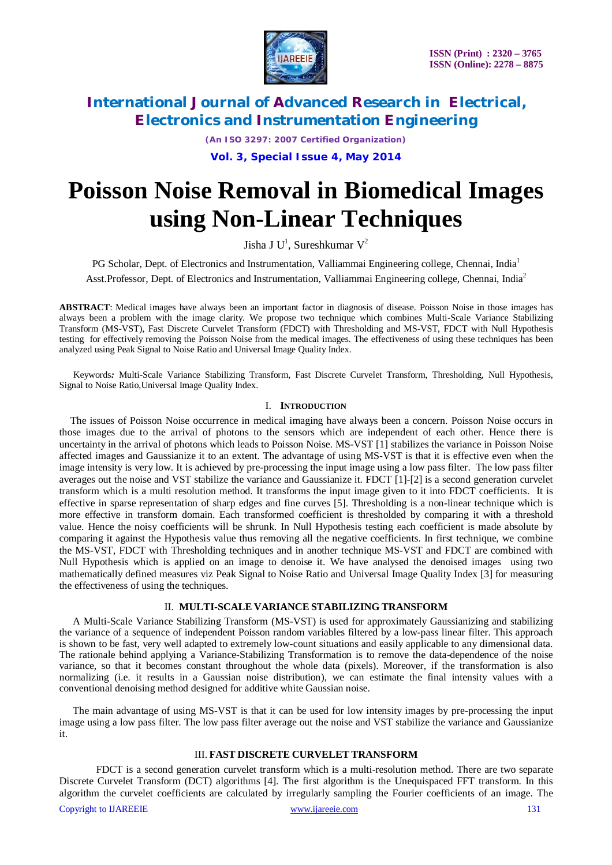

*(An ISO 3297: 2007 Certified Organization)*

**Vol. 3, Special Issue 4, May 2014**

# **Poisson Noise Removal in Biomedical Images using Non-Linear Techniques**

Jisha J $U^1$ , Sureshkumar  $V^2$ 

PG Scholar, Dept. of Electronics and Instrumentation, Valliammai Engineering college, Chennai, India<sup>1</sup> Asst.Professor, Dept. of Electronics and Instrumentation, Valliammai Engineering college, Chennai, India<sup>2</sup>

**ABSTRACT**: Medical images have always been an important factor in diagnosis of disease. Poisson Noise in those images has always been a problem with the image clarity. We propose two technique which combines Multi-Scale Variance Stabilizing Transform (MS-VST), Fast Discrete Curvelet Transform (FDCT) with Thresholding and MS-VST, FDCT with Null Hypothesis testing for effectively removing the Poisson Noise from the medical images. The effectiveness of using these techniques has been analyzed using Peak Signal to Noise Ratio and Universal Image Quality Index.

Keywords*:* Multi-Scale Variance Stabilizing Transform, Fast Discrete Curvelet Transform, Thresholding, Null Hypothesis, Signal to Noise Ratio,Universal Image Quality Index.

#### I. **INTRODUCTION**

The issues of Poisson Noise occurrence in medical imaging have always been a concern. Poisson Noise occurs in those images due to the arrival of photons to the sensors which are independent of each other. Hence there is uncertainty in the arrival of photons which leads to Poisson Noise. MS-VST [1] stabilizes the variance in Poisson Noise affected images and Gaussianize it to an extent. The advantage of using MS-VST is that it is effective even when the image intensity is very low. It is achieved by pre-processing the input image using a low pass filter. The low pass filter averages out the noise and VST stabilize the variance and Gaussianize it. FDCT [1]-[2] is a second generation curvelet transform which is a multi resolution method. It transforms the input image given to it into FDCT coefficients. It is effective in sparse representation of sharp edges and fine curves [5]. Thresholding is a non-linear technique which is more effective in transform domain. Each transformed coefficient is thresholded by comparing it with a threshold value. Hence the noisy coefficients will be shrunk. In Null Hypothesis testing each coefficient is made absolute by comparing it against the Hypothesis value thus removing all the negative coefficients. In first technique, we combine the MS-VST, FDCT with Thresholding techniques and in another technique MS-VST and FDCT are combined with Null Hypothesis which is applied on an image to denoise it. We have analysed the denoised images using two mathematically defined measures viz Peak Signal to Noise Ratio and Universal Image Quality Index [3] for measuring the effectiveness of using the techniques.

### II. **MULTI-SCALE VARIANCE STABILIZING TRANSFORM**

A Multi-Scale Variance Stabilizing Transform (MS-VST) is used for approximately Gaussianizing and stabilizing the variance of a sequence of independent Poisson random variables filtered by a low-pass linear filter. This approach is shown to be fast, very well adapted to extremely low-count situations and easily applicable to any dimensional data. The rationale behind applying a Variance-Stabilizing Transformation is to remove the data-dependence of the noise variance, so that it becomes constant throughout the whole data (pixels). Moreover, if the transformation is also normalizing (i.e. it results in a Gaussian noise distribution), we can estimate the final intensity values with a conventional denoising method designed for additive white Gaussian noise.

The main advantage of using MS-VST is that it can be used for low intensity images by pre-processing the input image using a low pass filter. The low pass filter average out the noise and VST stabilize the variance and Gaussianize it.

### III. **FAST DISCRETE CURVELET TRANSFORM**

FDCT is a second generation curvelet transform which is a multi-resolution method. There are two separate Discrete Curvelet Transform (DCT) algorithms [4]. The first algorithm is the Unequispaced FFT transform. In this algorithm the curvelet coefficients are calculated by irregularly sampling the Fourier coefficients of an image. The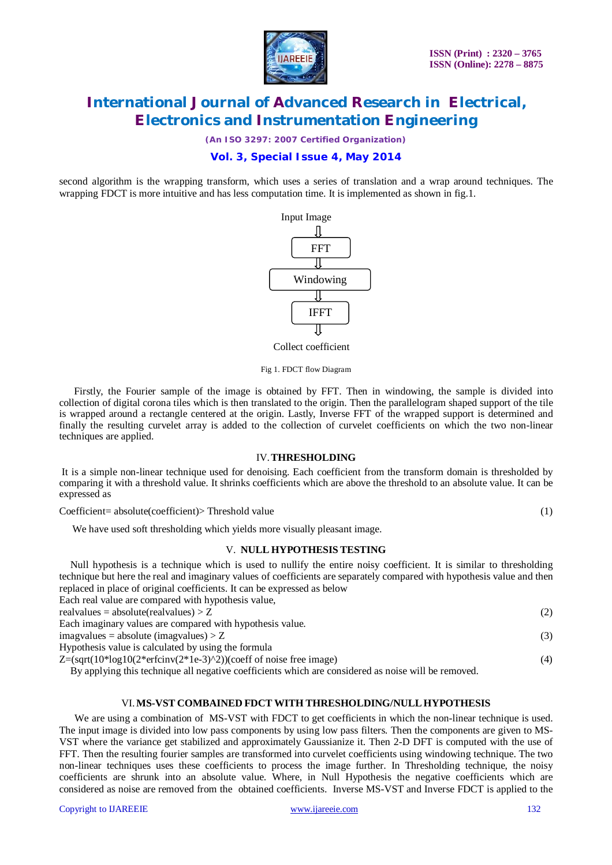

*(An ISO 3297: 2007 Certified Organization)*

# **Vol. 3, Special Issue 4, May 2014**

second algorithm is the wrapping transform, which uses a series of translation and a wrap around techniques. The wrapping FDCT is more intuitive and has less computation time. It is implemented as shown in fig.1.



Collect coefficient

Fig 1. FDCT flow Diagram

Firstly, the Fourier sample of the image is obtained by FFT. Then in windowing, the sample is divided into collection of digital corona tiles which is then translated to the origin. Then the parallelogram shaped support of the tile is wrapped around a rectangle centered at the origin. Lastly, Inverse FFT of the wrapped support is determined and finally the resulting curvelet array is added to the collection of curvelet coefficients on which the two non-linear techniques are applied.

#### IV.**THRESHOLDING**

It is a simple non-linear technique used for denoising. Each coefficient from the transform domain is thresholded by comparing it with a threshold value. It shrinks coefficients which are above the threshold to an absolute value. It can be expressed as

Coefficient= absolute(coefficient)> Threshold value (1)

We have used soft thresholding which yields more visually pleasant image.

### V. **NULL HYPOTHESIS TESTING**

Null hypothesis is a technique which is used to nullify the entire noisy coefficient. It is similar to thresholding technique but here the real and imaginary values of coefficients are separately compared with hypothesis value and then replaced in place of original coefficients. It can be expressed as below

| Each real value are compared with hypothesis value,                                                 |     |
|-----------------------------------------------------------------------------------------------------|-----|
| real values = absolute (real values) $> Z$                                                          | (2) |
| Each imaginary values are compared with hypothesis value.                                           |     |
| $imagvalues = absolute (imagvalues) > Z$                                                            | (3) |
| Hypothesis value is calculated by using the formula                                                 |     |
| $Z = (sqrt(10*log10(2*erfcinv(2*1e-3)^2))$ (coeff of noise free image)                              | (4) |
| By applying this technique all negative coefficients which are considered as noise will be removed. |     |

### VI.**MS-VST COMBAINED FDCT WITH THRESHOLDING/NULL HYPOTHESIS**

We are using a combination of MS-VST with FDCT to get coefficients in which the non-linear technique is used. The input image is divided into low pass components by using low pass filters. Then the components are given to MS-VST where the variance get stabilized and approximately Gaussianize it. Then 2-D DFT is computed with the use of FFT. Then the resulting fourier samples are transformed into curvelet coefficients using windowing technique. The two non-linear techniques uses these coefficients to process the image further. In Thresholding technique, the noisy coefficients are shrunk into an absolute value. Where, in Null Hypothesis the negative coefficients which are considered as noise are removed from the obtained coefficients. Inverse MS-VST and Inverse FDCT is applied to the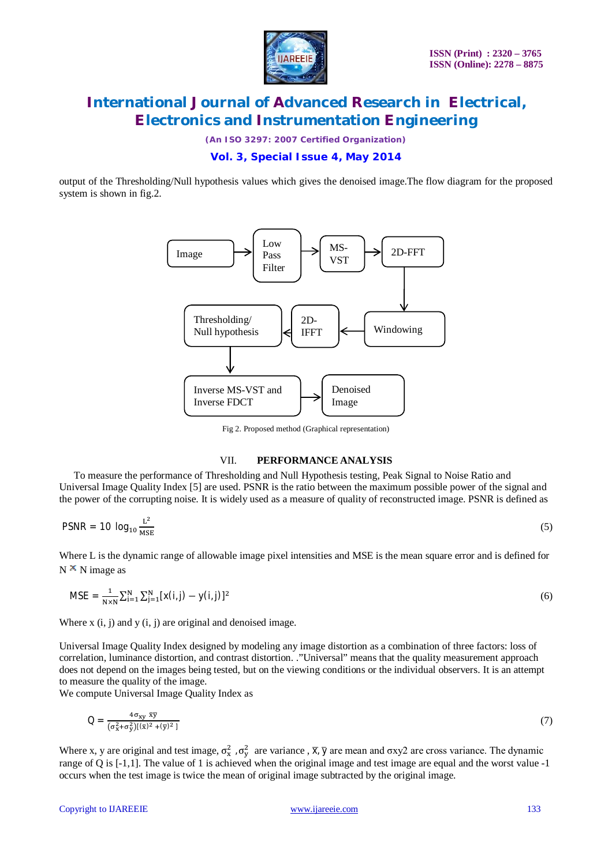

*(An ISO 3297: 2007 Certified Organization)*

# **Vol. 3, Special Issue 4, May 2014**

output of the Thresholding/Null hypothesis values which gives the denoised image.The flow diagram for the proposed system is shown in fig.2.



Fig 2. Proposed method (Graphical representation)

#### VII. **PERFORMANCE ANALYSIS**

To measure the performance of Thresholding and Null Hypothesis testing, Peak Signal to Noise Ratio and Universal Image Quality Index [5] are used. PSNR is the ratio between the maximum possible power of the signal and the power of the corrupting noise. It is widely used as a measure of quality of reconstructed image. PSNR is defined as

$$
PSNR = 10 \log_{10} \frac{L^2}{MSE} \tag{5}
$$

Where L is the dynamic range of allowable image pixel intensities and MSE is the mean square error and is defined for  $N^{\times}$  N image as

$$
MSE = \frac{1}{N \times N} \sum_{i=1}^{N} \sum_{j=1}^{N} [x(i,j) - y(i,j)]^2
$$
(6)

Where  $x(i, j)$  and  $y(i, j)$  are original and denoised image.

Universal Image Quality Index designed by modeling any image distortion as a combination of three factors: loss of correlation, luminance distortion, and contrast distortion. ."Universal" means that the quality measurement approach does not depend on the images being tested, but on the viewing conditions or the individual observers. It is an attempt to measure the quality of the image.

We compute Universal Image Quality Index as

$$
Q = \frac{4\sigma_{xy} \overline{x}\overline{y}}{(\sigma_x^2 + \sigma_y^2)[(\overline{x})^2 + (\overline{y})^2]}
$$
(7)

Where x, y are original and test image,  $\sigma_x^2$ ,  $\sigma_y^2$  are variance,  $\overline{x}$ ,  $\overline{y}$  are mean and  $\sigma xy^2$  are cross variance. The dynamic range of Q is [-1,1]. The value of 1 is achieved when the original image and test image are equal and the worst value -1 occurs when the test image is twice the mean of original image subtracted by the original image.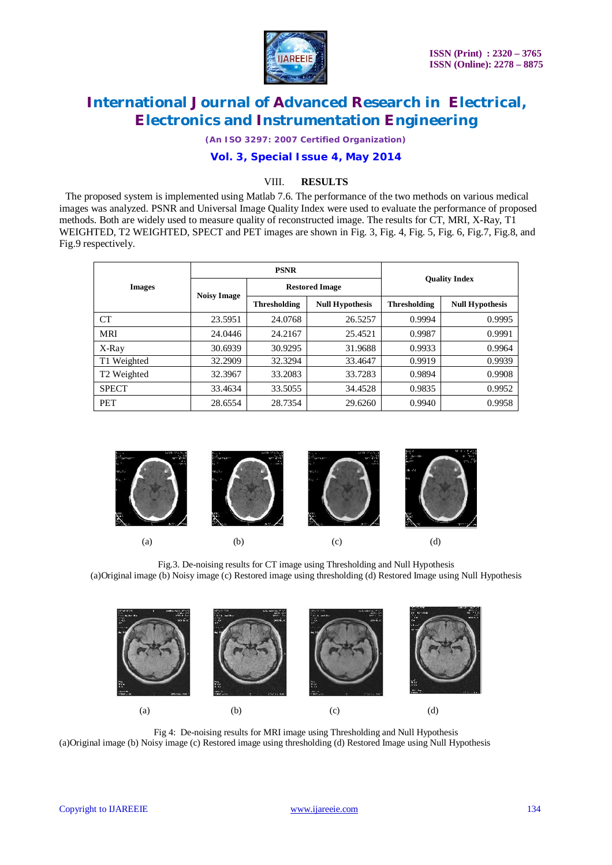

*(An ISO 3297: 2007 Certified Organization)*

### **Vol. 3, Special Issue 4, May 2014**

### VIII. **RESULTS**

 The proposed system is implemented using Matlab 7.6. The performance of the two methods on various medical images was analyzed. PSNR and Universal Image Quality Index were used to evaluate the performance of proposed methods. Both are widely used to measure quality of reconstructed image. The results for CT, MRI, X-Ray, T1 WEIGHTED, T2 WEIGHTED, SPECT and PET images are shown in Fig. 3, Fig. 4, Fig. 5, Fig. 6, Fig.7, Fig.8, and Fig.9 respectively.

|                         | <b>PSNR</b>        |                       |                        |                      |                        |
|-------------------------|--------------------|-----------------------|------------------------|----------------------|------------------------|
| <b>Images</b>           | <b>Noisy Image</b> | <b>Restored Image</b> |                        | <b>Ouality Index</b> |                        |
|                         |                    | <b>Thresholding</b>   | <b>Null Hypothesis</b> | <b>Thresholding</b>  | <b>Null Hypothesis</b> |
| <b>CT</b>               | 23.5951            | 24.0768               | 26.5257                | 0.9994               | 0.9995                 |
| MRI                     | 24.0446            | 24.2167               | 25.4521                | 0.9987               | 0.9991                 |
| X-Ray                   | 30.6939            | 30.9295               | 31.9688                | 0.9933               | 0.9964                 |
| T1 Weighted             | 32.2909            | 32.3294               | 33.4647                | 0.9919               | 0.9939                 |
| T <sub>2</sub> Weighted | 32.3967            | 33.2083               | 33.7283                | 0.9894               | 0.9908                 |
| <b>SPECT</b>            | 33.4634            | 33.5055               | 34.4528                | 0.9835               | 0.9952                 |
| <b>PET</b>              | 28.6554            | 28.7354               | 29.6260                | 0.9940               | 0.9958                 |



Fig.3. De-noising results for CT image using Thresholding and Null Hypothesis (a)Original image (b) Noisy image (c) Restored image using thresholding (d) Restored Image using Null Hypothesis



Fig 4: De-noising results for MRI image using Thresholding and Null Hypothesis (a)Original image (b) Noisy image (c) Restored image using thresholding (d) Restored Image using Null Hypothesis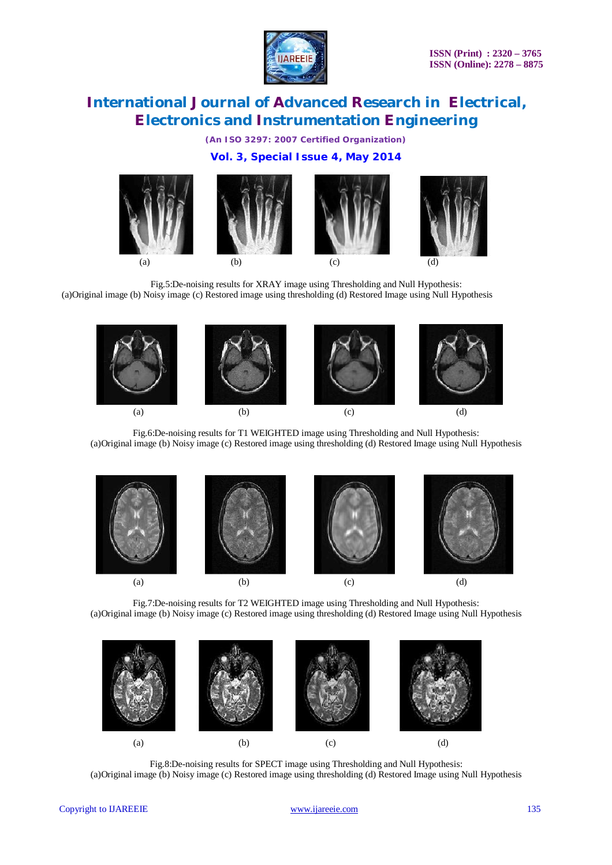

*(An ISO 3297: 2007 Certified Organization)*

# **Vol. 3, Special Issue 4, May 2014**



Fig.5:De-noising results for XRAY image using Thresholding and Null Hypothesis: (a)Original image (b) Noisy image (c) Restored image using thresholding (d) Restored Image using Null Hypothesis



Fig.6:De-noising results for T1 WEIGHTED image using Thresholding and Null Hypothesis: (a)Original image (b) Noisy image (c) Restored image using thresholding (d) Restored Image using Null Hypothesis



Fig.7:De-noising results for T2 WEIGHTED image using Thresholding and Null Hypothesis: (a)Original image (b) Noisy image (c) Restored image using thresholding (d) Restored Image using Null Hypothesis



Fig.8:De-noising results for SPECT image using Thresholding and Null Hypothesis: (a)Original image (b) Noisy image (c) Restored image using thresholding (d) Restored Image using Null Hypothesis